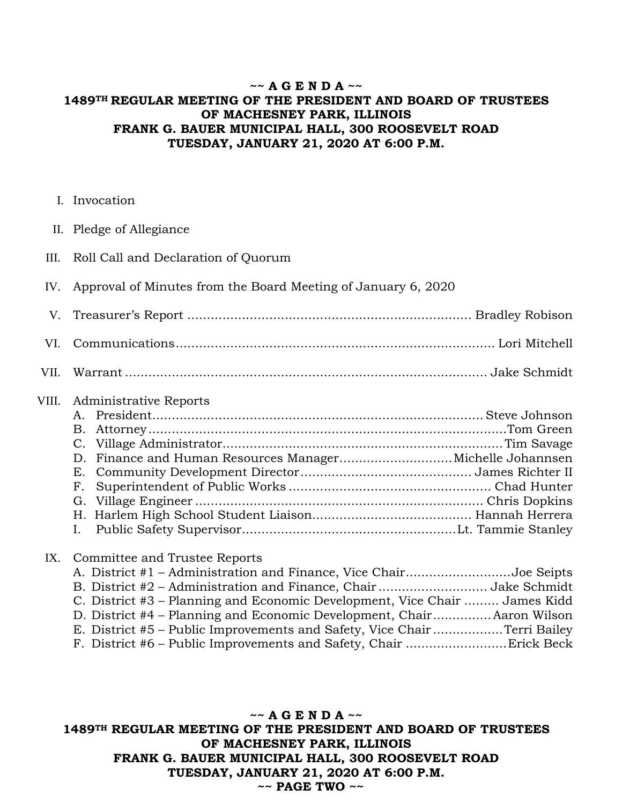## **~~ A G E N D A ~~ 1489TH REGULAR MEETING OF THE PRESIDENT AND BOARD OF TRUSTEES OF MACHESNEY PARK, ILLINOIS FRANK G. BAUER MUNICIPAL HALL, 300 ROOSEVELT ROAD TUESDAY, JANUARY 21, 2020 AT 6:00 P.M.**

- I. Invocation
- II. Pledge of Allegiance
- III. Roll Call and Declaration of Quorum
- IV. Approval of Minutes from the Board Meeting of January 6, 2020
- V. Treasurer's Report ......................................................................... Bradley Robison VI. Communications.................................................................................. Lori Mitchell
- VII. Warrant ............................................................................................. Jake Schmidt

## VIII. Administrative Reports

## IX. Committee and Trustee Reports

| A. District #1 – Administration and Finance, Vice ChairJoe Seipts          |  |
|----------------------------------------------------------------------------|--|
| B. District #2 - Administration and Finance, ChairJake Schmidt             |  |
| C. District #3 – Planning and Economic Development, Vice Chair  James Kidd |  |
| D. District #4 – Planning and Economic Development, Chair Aaron Wilson     |  |
| E. District #5 – Public Improvements and Safety, Vice Chair Terri Bailey   |  |
|                                                                            |  |

**~~ A G E N D A ~~ 1489TH REGULAR MEETING OF THE PRESIDENT AND BOARD OF TRUSTEES OF MACHESNEY PARK, ILLINOIS FRANK G. BAUER MUNICIPAL HALL, 300 ROOSEVELT ROAD TUESDAY, JANUARY 21, 2020 AT 6:00 P.M. ~~ PAGE TWO ~~**